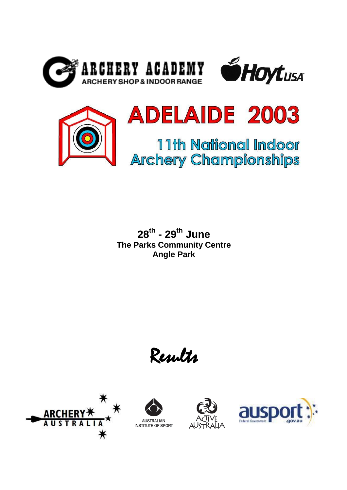





**28th - 29th June The Parks Community Centre Angle Park**

Results







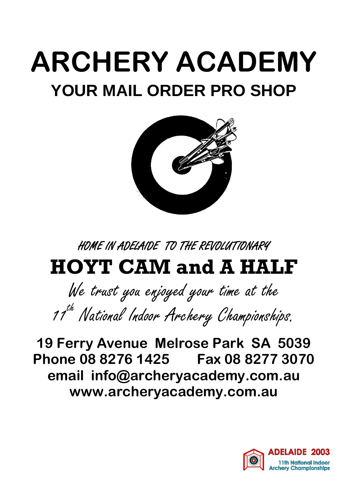## **ARCHERY ACADEMY YOUR MAIL ORDER PRO SHOP**



HOME IN ADELAIDE TO THE REVOLUTIONARY

## **HOYT CAM and A HALF**

We trust you enjoyed your time at the 11<sup>th</sup> National Indoor Archery Championships.

**19 Ferry Avenue Melrose Park SA 5039 Phone 08 8276 1425 Fax 08 8277 3070 email info@archeryacademy.com.au www.archeryacademy.com.au**

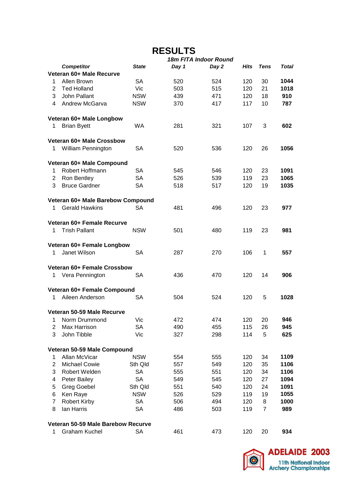### **RESULTS**

|                |                                    | 18m FITA Indoor Round |       |       |      |                |       |  |
|----------------|------------------------------------|-----------------------|-------|-------|------|----------------|-------|--|
|                | <b>Competitor</b>                  | <b>State</b>          | Day 1 | Day 2 | Hits | <b>Tens</b>    | Total |  |
|                | Veteran 60+ Male Recurve           |                       |       |       |      |                |       |  |
| 1              | Allen Brown                        | SА                    | 520   | 524   | 120  | 30             | 1044  |  |
| $\overline{2}$ | <b>Ted Holland</b>                 | Vic                   | 503   | 515   | 120  | 21             | 1018  |  |
| 3              | John Pallant                       | <b>NSW</b>            | 439   | 471   | 120  | 18             | 910   |  |
| 4              | Andrew McGarva                     | <b>NSW</b>            | 370   | 417   | 117  | 10             | 787   |  |
|                |                                    |                       |       |       |      |                |       |  |
|                | Veteran 60+ Male Longbow           |                       |       |       |      |                |       |  |
| 1              | <b>Brian Byett</b>                 | <b>WA</b>             | 281   | 321   | 107  | 3              | 602   |  |
|                |                                    |                       |       |       |      |                |       |  |
|                | Veteran 60+ Male Crossbow          |                       |       |       |      |                |       |  |
|                |                                    | SА                    |       |       | 120  | 26             | 1056  |  |
| 1              | William Pennington                 |                       | 520   | 536   |      |                |       |  |
|                |                                    |                       |       |       |      |                |       |  |
|                | Veteran 60+ Male Compound          |                       |       |       |      |                |       |  |
| 1              | Robert Hoffmann                    | SА                    | 545   | 546   | 120  | 23             | 1091  |  |
| $\overline{2}$ | Ron Bentley                        | <b>SA</b>             | 526   | 539   | 119  | 23             | 1065  |  |
| 3              | <b>Bruce Gardner</b>               | SА                    | 518   | 517   | 120  | 19             | 1035  |  |
|                |                                    |                       |       |       |      |                |       |  |
|                | Veteran 60+ Male Barebow Compound  |                       |       |       |      |                |       |  |
| 1              | <b>Gerald Hawkins</b>              | SA                    | 481   | 496   | 120  | 23             | 977   |  |
|                |                                    |                       |       |       |      |                |       |  |
|                | Veteran 60+ Female Recurve         |                       |       |       |      |                |       |  |
| 1              | <b>Trish Pallant</b>               | <b>NSW</b>            | 501   | 480   | 119  | 23             | 981   |  |
|                |                                    |                       |       |       |      |                |       |  |
|                | Veteran 60+ Female Longbow         |                       |       |       |      |                |       |  |
| 1              | Janet Wilson                       | SА                    | 287   | 270   | 106  | 1              | 557   |  |
|                |                                    |                       |       |       |      |                |       |  |
|                | Veteran 60+ Female Crossbow        |                       |       |       |      |                |       |  |
| 1              | Vera Pennington                    | SА                    | 436   | 470   | 120  | 14             | 906   |  |
|                |                                    |                       |       |       |      |                |       |  |
|                | Veteran 60+ Female Compound        |                       |       |       |      |                |       |  |
| 1              | Aileen Anderson                    | SА                    | 504   | 524   | 120  | 5              | 1028  |  |
|                |                                    |                       |       |       |      |                |       |  |
|                | Veteran 50-59 Male Recurve         |                       |       |       |      |                |       |  |
|                |                                    |                       |       |       |      |                |       |  |
| 1              | Norm Drummond                      | Vic                   | 472   | 474   | 120  | 20             | 946   |  |
| $\overline{2}$ | Max Harrison                       | SA                    | 490   | 455   | 115  | 26             | 945   |  |
| 3              | John Tibble                        | Vic                   | 327   | 298   | 114  | 5              | 625   |  |
|                |                                    |                       |       |       |      |                |       |  |
|                | Veteran 50-59 Male Compound        |                       |       |       |      |                |       |  |
| $\mathbf{1}$   | Allan McVicar                      | <b>NSW</b>            | 554   | 555   | 120  | 34             | 1109  |  |
| $\overline{2}$ | Michael Cowie                      | Sth Qld               | 557   | 549   | 120  | 35             | 1106  |  |
| 3              | Robert Welden                      | <b>SA</b>             | 555   | 551   | 120  | 34             | 1106  |  |
| 4              | Peter Bailey                       | <b>SA</b>             | 549   | 545   | 120  | 27             | 1094  |  |
| 5              | <b>Greg Goebel</b>                 | Sth Qld               | 551   | 540   | 120  | 24             | 1091  |  |
| 6              | Ken Raye                           | <b>NSW</b>            | 526   | 529   | 119  | 19             | 1055  |  |
| $\overline{7}$ | <b>Robert Kirby</b>                | <b>SA</b>             | 506   | 494   | 120  | 8              | 1000  |  |
| 8              | lan Harris                         | <b>SA</b>             | 486   | 503   | 119  | $\overline{7}$ | 989   |  |
|                |                                    |                       |       |       |      |                |       |  |
|                | Veteran 50-59 Male Barebow Recurve |                       |       |       |      |                |       |  |
| 1              | <b>Graham Kuchel</b>               | <b>SA</b>             | 461   | 473   | 120  | 20             | 934   |  |
|                |                                    |                       |       |       |      |                |       |  |

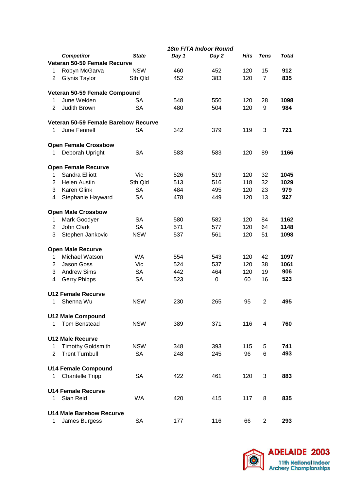|                |                                      | <b>18m FITA Indoor Round</b> |       |       |             |                |       |  |
|----------------|--------------------------------------|------------------------------|-------|-------|-------------|----------------|-------|--|
|                | <b>Competitor</b>                    | <b>State</b>                 | Day 1 | Day 2 | <b>Hits</b> | <b>Tens</b>    | Total |  |
|                | Veteran 50-59 Female Recurve         |                              |       |       |             |                |       |  |
| 1              | Robyn McGarva                        | <b>NSW</b>                   | 460   | 452   | 120         | 15             | 912   |  |
| $\overline{2}$ | <b>Glynis Taylor</b>                 | Sth Qld                      | 452   | 383   | 120         | $\overline{7}$ | 835   |  |
|                | Veteran 50-59 Female Compound        |                              |       |       |             |                |       |  |
| 1              | June Welden                          | SA                           | 548   | 550   | 120         | 28             | 1098  |  |
| $\overline{2}$ | Judith Brown                         | <b>SA</b>                    | 480   | 504   | 120         | 9              | 984   |  |
|                |                                      |                              |       |       |             |                |       |  |
|                | Veteran 50-59 Female Barebow Recurve |                              |       |       |             |                |       |  |
| 1              | June Fennell                         | <b>SA</b>                    | 342   | 379   | 119         | 3              | 721   |  |
|                | <b>Open Female Crossbow</b>          |                              |       |       |             |                |       |  |
| 1              | Deborah Upright                      | SА                           | 583   | 583   | 120         | 89             | 1166  |  |
|                | <b>Open Female Recurve</b>           |                              |       |       |             |                |       |  |
| 1              | Sandra Elliott                       | Vic                          | 526   | 519   | 120         | 32             | 1045  |  |
| $\overline{2}$ | <b>Helen Austin</b>                  | Sth Qld                      | 513   | 516   | 118         | 32             | 1029  |  |
| 3              | <b>Karen Glink</b>                   | <b>SA</b>                    | 484   | 495   | 120         | 23             | 979   |  |
| 4              | Stephanie Hayward                    | <b>SA</b>                    | 478   | 449   | 120         | 13             | 927   |  |
|                | <b>Open Male Crossbow</b>            |                              |       |       |             |                |       |  |
| 1              | Mark Goodyer                         | SA                           | 580   | 582   | 120         | 84             | 1162  |  |
| $\overline{2}$ | John Clark                           | <b>SA</b>                    | 571   | 577   | 120         | 64             | 1148  |  |
| 3              | Stephen Jankovic                     | <b>NSW</b>                   | 537   | 561   | 120         | 51             | 1098  |  |
|                | <b>Open Male Recurve</b>             |                              |       |       |             |                |       |  |
| 1              | Michael Watson                       | <b>WA</b>                    | 554   | 543   | 120         | 42             | 1097  |  |
| 2              | Jason Goss                           | Vic                          | 524   | 537   | 120         | 38             | 1061  |  |
| 3              | <b>Andrew Sims</b>                   | <b>SA</b>                    | 442   | 464   | 120         | 19             | 906   |  |
| 4              | <b>Gerry Phipps</b>                  | <b>SA</b>                    | 523   | 0     | 60          | 16             | 523   |  |
|                |                                      |                              |       |       |             |                |       |  |
|                | <b>U12 Female Recurve</b>            |                              |       |       |             |                |       |  |
| 1              | Shenna Wu                            | <b>NSW</b>                   | 230   | 265   | 95          | $\overline{2}$ | 495   |  |
|                | <b>U12 Male Compound</b>             |                              |       |       |             |                |       |  |
| 1              | Tom Benstead                         | <b>NSW</b>                   | 389   | 371   | 116         | 4              | 760   |  |
|                | <b>U12 Male Recurve</b>              |                              |       |       |             |                |       |  |
| 1              | <b>Timothy Goldsmith</b>             | <b>NSW</b>                   | 348   | 393   | 115         | 5              | 741   |  |
| $\overline{2}$ | <b>Trent Turnbull</b>                | <b>SA</b>                    | 248   | 245   | 96          | 6              | 493   |  |
|                | <b>U14 Female Compound</b>           |                              |       |       |             |                |       |  |
| 1              | <b>Chantelle Tripp</b>               | SA                           | 422   | 461   | 120         | 3              | 883   |  |
|                |                                      |                              |       |       |             |                |       |  |
|                | <b>U14 Female Recurve</b>            |                              |       |       |             |                |       |  |
| 1              | Sian Reid                            | <b>WA</b>                    | 420   | 415   | 117         | 8              | 835   |  |
|                | <b>U14 Male Barebow Recurve</b>      |                              |       |       |             |                |       |  |
| 1              | James Burgess                        | <b>SA</b>                    | 177   | 116   | 66          | $\overline{2}$ | 293   |  |

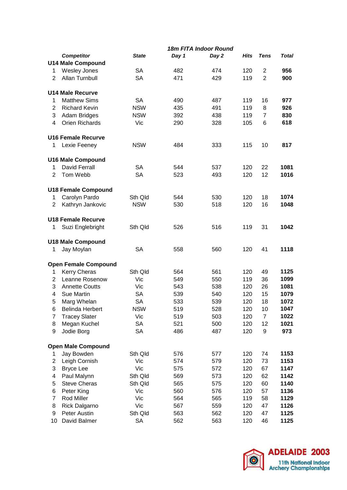|                  |                             | 18m FITA Indoor Round |       |       |             |                |       |  |
|------------------|-----------------------------|-----------------------|-------|-------|-------------|----------------|-------|--|
|                  | <b>Competitor</b>           | <b>State</b>          | Day 1 | Day 2 | <b>Hits</b> | Tens           | Total |  |
|                  | <b>U14 Male Compound</b>    |                       |       |       |             |                |       |  |
| 1                | <b>Wesley Jones</b>         | <b>SA</b>             | 482   | 474   | 120         | $\overline{c}$ | 956   |  |
| $\overline{2}$   | Allan Turnbull              | <b>SA</b>             | 471   | 429   | 119         | $\overline{2}$ | 900   |  |
|                  |                             |                       |       |       |             |                |       |  |
|                  | <b>U14 Male Recurve</b>     |                       |       |       |             |                |       |  |
| 1                | <b>Matthew Sims</b>         | <b>SA</b>             | 490   | 487   | 119         | 16             | 977   |  |
| $\overline{2}$   | <b>Richard Kevin</b>        | <b>NSW</b>            | 435   | 491   | 119         | 8              | 926   |  |
| 3                | Adam Bridges                | <b>NSW</b>            | 392   | 438   | 119         | $\overline{7}$ | 830   |  |
| 4                | <b>Orien Richards</b>       | Vic                   | 290   | 328   | 105         | 6              | 618   |  |
|                  |                             |                       |       |       |             |                |       |  |
|                  | <b>U16 Female Recurve</b>   |                       |       |       |             |                |       |  |
|                  |                             | <b>NSW</b>            | 484   | 333   | 115         | 10             | 817   |  |
| 1                | Lexie Feeney                |                       |       |       |             |                |       |  |
|                  |                             |                       |       |       |             |                |       |  |
|                  | <b>U16 Male Compound</b>    |                       |       |       |             |                |       |  |
| 1                | <b>David Ferrall</b>        | <b>SA</b>             | 544   | 537   | 120         | 22             | 1081  |  |
| $\overline{2}$   | Tom Webb                    | <b>SA</b>             | 523   | 493   | 120         | 12             | 1016  |  |
|                  |                             |                       |       |       |             |                |       |  |
|                  | <b>U18 Female Compound</b>  |                       |       |       |             |                |       |  |
| 1                | Carolyn Pardo               | Sth Qld               | 544   | 530   | 120         | 18             | 1074  |  |
| $\overline{2}$   | Kathryn Jankovic            | <b>NSW</b>            | 530   | 518   | 120         | 16             | 1048  |  |
|                  |                             |                       |       |       |             |                |       |  |
|                  | <b>U18 Female Recurve</b>   |                       |       |       |             |                |       |  |
| 1                | Suzi Englebright            | Sth Qld               | 526   | 516   | 119         | 31             | 1042  |  |
|                  |                             |                       |       |       |             |                |       |  |
|                  | <b>U18 Male Compound</b>    |                       |       |       |             |                |       |  |
| 1                | Jay Moylan                  | <b>SA</b>             | 558   | 560   | 120         | 41             | 1118  |  |
|                  |                             |                       |       |       |             |                |       |  |
|                  | <b>Open Female Compound</b> |                       |       |       |             |                |       |  |
| 1                | Kerry Cheras                | Sth Qld               | 564   | 561   | 120         | 49             | 1125  |  |
| $\overline{2}$   | Leanne Rosenow              | Vic                   | 549   | 550   | 119         | 36             | 1099  |  |
| 3                | <b>Annette Coutts</b>       | Vic                   | 543   | 538   | 120         | 26             | 1081  |  |
| 4                | <b>Sue Martin</b>           | SА                    | 539   | 540   | 120         | 15             | 1079  |  |
| 5                | Marg Whelan                 | <b>SA</b>             | 533   | 539   | 120         | 18             | 1072  |  |
| 6                | <b>Belinda Herbert</b>      | <b>NSW</b>            | 519   | 528   | 120         | 10             | 1047  |  |
| $\overline{7}$   | <b>Tracey Slater</b>        | Vic                   | 519   | 503   | 120         | $\overline{7}$ | 1022  |  |
| 8                | Megan Kuchel                | SA                    | 521   | 500   | 120         | 12             | 1021  |  |
| 9                |                             |                       |       |       |             |                |       |  |
|                  | Jodie Borg                  | SA                    | 486   | 487   | 120         | 9              | 973   |  |
|                  |                             |                       |       |       |             |                |       |  |
|                  | <b>Open Male Compound</b>   |                       |       |       |             |                |       |  |
| 1                | Jay Bowden                  | Sth Qld               | 576   | 577   | 120         | 74             | 1153  |  |
| $\overline{2}$   | Leigh Cornish               | Vic                   | 574   | 579   | 120         | 73             | 1153  |  |
| 3                | <b>Bryce Lee</b>            | Vic                   | 575   | 572   | 120         | 67             | 1147  |  |
| 4                | Paul Malynn                 | Sth Qld               | 569   | 573   | 120         | 62             | 1142  |  |
| 5                | <b>Steve Cheras</b>         | Sth Qld               | 565   | 575   | 120         | 60             | 1140  |  |
| 6                | Peter King                  | Vic                   | 560   | 576   | 120         | 57             | 1136  |  |
| $\boldsymbol{7}$ | Rod Miller                  | Vic                   | 564   | 565   | 119         | 58             | 1129  |  |
| 8                | <b>Rick Dalgarno</b>        | Vic                   | 567   | 559   | 120         | 47             | 1126  |  |
| 9                | Peter Austin                | Sth Qld               | 563   | 562   | 120         | 47             | 1125  |  |
| 10               | David Balmer                | SA                    | 562   | 563   | 120         | 46             | 1125  |  |

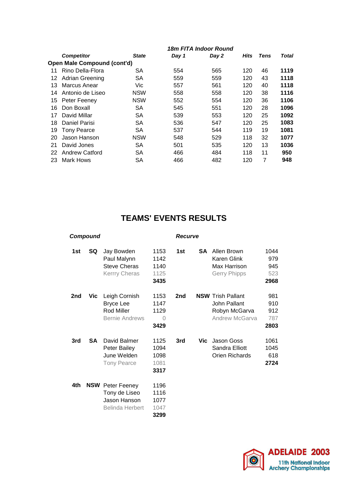|    |                             | 18m FITA Indoor Round |     |       |             |      |              |  |
|----|-----------------------------|-----------------------|-----|-------|-------------|------|--------------|--|
|    | <b>Competitor</b>           | <b>State</b><br>Day 1 |     | Day 2 | <b>Hits</b> | Tens | <b>Total</b> |  |
|    | Open Male Compound (cont'd) |                       |     |       |             |      |              |  |
| 11 | Rino Della-Flora            | SA                    | 554 | 565   | 120         | 46   | 1119         |  |
| 12 | <b>Adrian Greening</b>      | <b>SA</b>             | 559 | 559   | 120         | 43   | 1118         |  |
| 13 | Marcus Anear                | Vic                   | 557 | 561   | 120         | 40   | 1118         |  |
| 14 | Antonio de Liseo            | <b>NSW</b>            | 558 | 558   | 120         | 38   | 1116         |  |
| 15 | Peter Feeney                | <b>NSW</b>            | 552 | 554   | 120         | 36   | 1106         |  |
| 16 | Don Boxall                  | SА                    | 545 | 551   | 120         | 28   | 1096         |  |
| 17 | David Millar                | SA                    | 539 | 553   | 120         | 25   | 1092         |  |
| 18 | Daniel Parisi               | SA                    | 536 | 547   | 120         | 25   | 1083         |  |
| 19 | <b>Tony Pearce</b>          | <b>SA</b>             | 537 | 544   | 119         | 19   | 1081         |  |
| 20 | Jason Hanson                | <b>NSW</b>            | 548 | 529   | 118         | 32   | 1077         |  |
| 21 | David Jones                 | <b>SA</b>             | 501 | 535   | 120         | 13   | 1036         |  |
| 22 | Andrew Catford              | <b>SA</b>             | 466 | 484   | 118         | 11   | 950          |  |
| 23 | Mark Hows                   | SA                    | 466 | 482   | 120         | 7    | 948          |  |
|    |                             |                       |     |       |             |      |              |  |

#### **TEAMS' EVENTS RESULTS**

| Compound |           |                                                                                    | <b>Recurve</b>                       |                 |           |                                                                             |                                   |
|----------|-----------|------------------------------------------------------------------------------------|--------------------------------------|-----------------|-----------|-----------------------------------------------------------------------------|-----------------------------------|
| 1st      | SQ.       | Jay Bowden<br>Paul Malynn<br><b>Steve Cheras</b><br>Kerrry Cheras                  | 1153<br>1142<br>1140<br>1125<br>3435 | 1st             | <b>SA</b> | Allen Brown<br>Karen Glink<br>Max Harrison<br><b>Gerry Phipps</b>           | 1044<br>979<br>945<br>523<br>2968 |
| 2nd      | Vic.      | Leigh Cornish<br><b>Bryce Lee</b><br>Rod Miller<br><b>Bernie Andrews</b>           | 1153<br>1147<br>1129<br>0<br>3429    | 2 <sub>nd</sub> |           | <b>NSW Trish Pallant</b><br>John Pallant<br>Robyn McGarva<br>Andrew McGarva | 981<br>910<br>912<br>787<br>2803  |
| 3rd      | <b>SA</b> | David Balmer<br>Peter Bailey<br>June Welden<br><b>Tony Pearce</b>                  | 1125<br>1094<br>1098<br>1081<br>3317 | 3rd             | Vic.      | Jason Goss<br>Sandra Elliott<br>Orien Richards                              | 1061<br>1045<br>618<br>2724       |
| 4th.     |           | <b>NSW</b> Peter Feeney<br>Tony de Liseo<br>Jason Hanson<br><b>Belinda Herbert</b> | 1196<br>1116<br>1077<br>1047<br>3299 |                 |           |                                                                             |                                   |